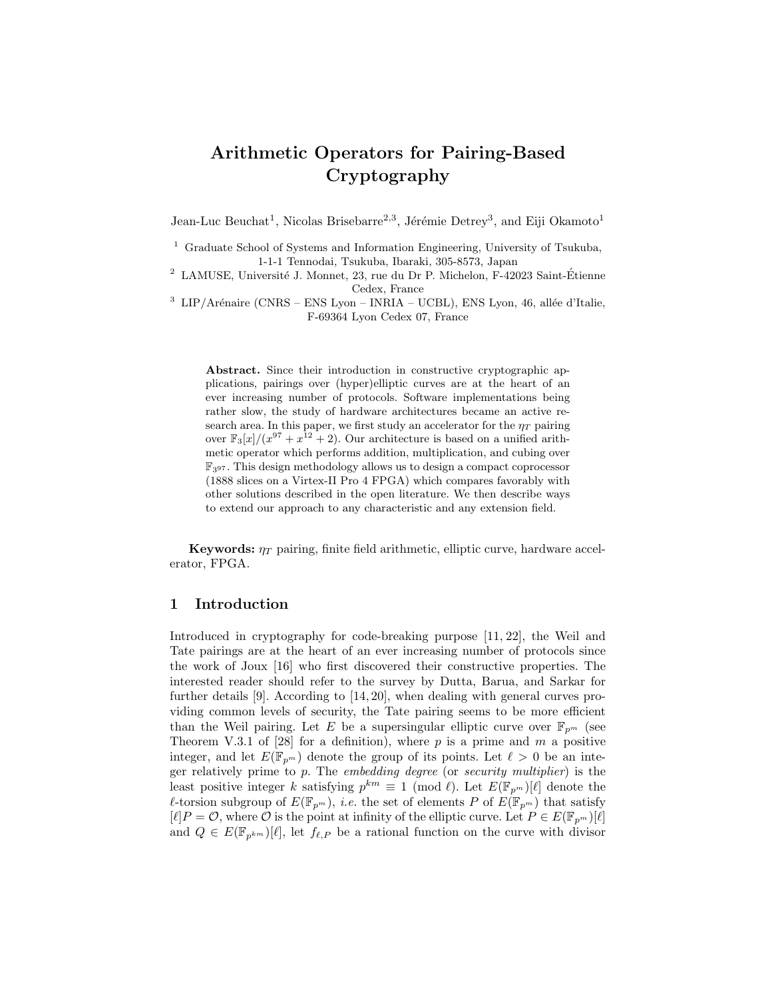# Arithmetic Operators for Pairing-Based Cryptography

Jean-Luc Beuchat<sup>1</sup>, Nicolas Brisebarre<sup>2,3</sup>, Jérémie Detrey<sup>3</sup>, and Eiji Okamoto<sup>1</sup>

 $3$  LIP/Arénaire (CNRS – ENS Lyon – INRIA – UCBL), ENS Lyon, 46, allée d'Italie, F-69364 Lyon Cedex 07, France

Abstract. Since their introduction in constructive cryptographic applications, pairings over (hyper)elliptic curves are at the heart of an ever increasing number of protocols. Software implementations being rather slow, the study of hardware architectures became an active research area. In this paper, we first study an accelerator for the  $\eta_T$  pairing over  $\mathbb{F}_{3}[x]/(x^{97} + x^{12} + 2)$ . Our architecture is based on a unified arithmetic operator which performs addition, multiplication, and cubing over  $\mathbb{F}_{397}$ . This design methodology allows us to design a compact coprocessor (1888 slices on a Virtex-II Pro 4 FPGA) which compares favorably with other solutions described in the open literature. We then describe ways to extend our approach to any characteristic and any extension field.

**Keywords:**  $\eta_T$  pairing, finite field arithmetic, elliptic curve, hardware accelerator, FPGA.

### 1 Introduction

Introduced in cryptography for code-breaking purpose [11, 22], the Weil and Tate pairings are at the heart of an ever increasing number of protocols since the work of Joux [16] who first discovered their constructive properties. The interested reader should refer to the survey by Dutta, Barua, and Sarkar for further details [9]. According to [14, 20], when dealing with general curves providing common levels of security, the Tate pairing seems to be more efficient than the Weil pairing. Let E be a supersingular elliptic curve over  $\mathbb{F}_{p^m}$  (see Theorem V.3.1 of [28] for a definition), where  $p$  is a prime and  $m$  a positive integer, and let  $E(\mathbb{F}_{p^m})$  denote the group of its points. Let  $\ell > 0$  be an integer relatively prime to  $p$ . The *embedding degree* (or *security multiplier*) is the least positive integer k satisfying  $p^{km} \equiv 1 \pmod{\ell}$ . Let  $E(\mathbb{F}_{p^m})[\ell]$  denote the  $\ell$ -torsion subgroup of  $E(\mathbb{F}_{p^m})$ , *i.e.* the set of elements P of  $E(\mathbb{F}_{p^m})$  that satisfy  $[\ell]P = \mathcal{O}$ , where  $\mathcal O$  is the point at infinity of the elliptic curve. Let  $P \in E(\mathbb{F}_{p^m})[\ell]$ and  $Q \in E(\mathbb{F}_{p^{km}})[\ell],$  let  $f_{\ell,P}$  be a rational function on the curve with divisor

<sup>&</sup>lt;sup>1</sup> Graduate School of Systems and Information Engineering, University of Tsukuba, 1-1-1 Tennodai, Tsukuba, Ibaraki, 305-8573, Japan

<sup>&</sup>lt;sup>2</sup> LAMUSE, Université J. Monnet, 23, rue du Dr P. Michelon, F-42023 Saint-Étienne Cedex, France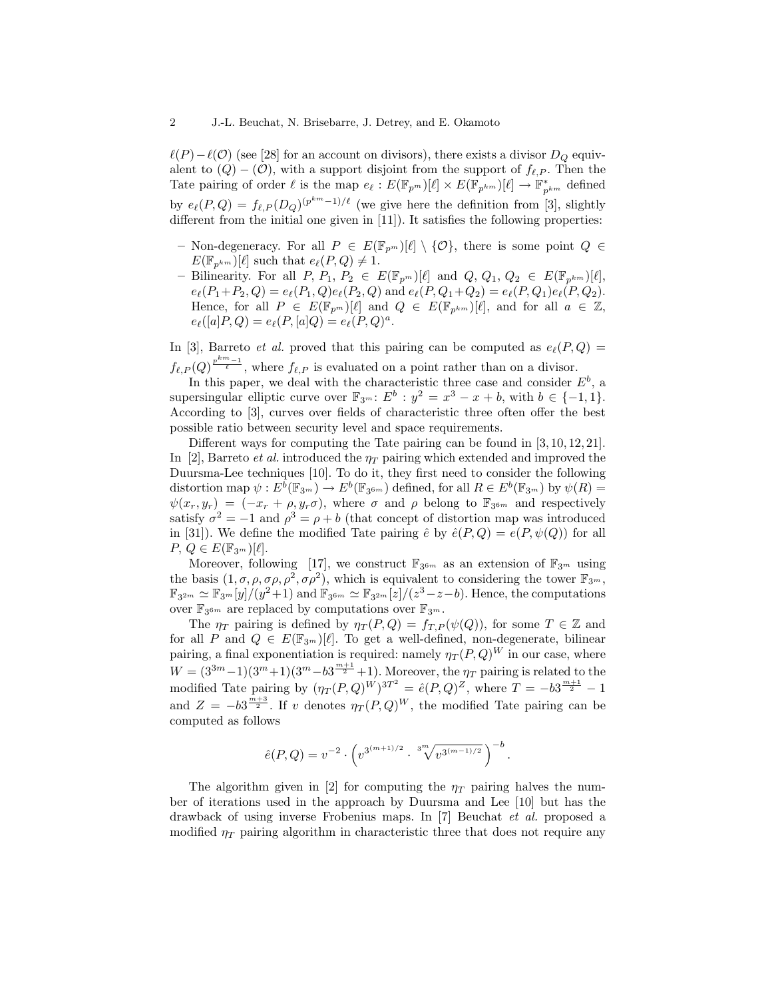$\ell(P)-\ell(O)$  (see [28] for an account on divisors), there exists a divisor  $D_Q$  equivalent to  $(Q) - (O)$ , with a support disjoint from the support of  $f_{\ell,P}$ . Then the Tate pairing of order  $\ell$  is the map  $e_{\ell} : E(\mathbb{F}_{p^m})[\ell] \times E(\mathbb{F}_{p^{km}})[\ell] \to \mathbb{F}_{p^{km}}^*$  defined by  $e_{\ell}(P,Q) = f_{\ell,P}(D_Q)^{(p^{km}-1)/\ell}$  (we give here the definition from [3], slightly different from the initial one given in [11]). It satisfies the following properties:

- Non-degeneracy. For all  $P \in E(\mathbb{F}_{p^m})[\ell] \setminus \{O\}$ , there is some point  $Q \in$  $E(\mathbb{F}_{n^{km}})[\ell]$  such that  $e_{\ell}(P, Q) \neq 1$ .
- Bilinearity. For all  $P, P_1, P_2 \in E(\mathbb{F}_{p^m})[\ell]$  and  $Q, Q_1, Q_2 \in E(\mathbb{F}_{p^{km}})[\ell],$  $e_{\ell}(P_1+P_2, Q) = e_{\ell}(P_1, Q)e_{\ell}(P_2, Q)$  and  $e_{\ell}(P, Q_1+Q_2) = e_{\ell}(P, Q_1)e_{\ell}(P, Q_2).$ Hence, for all  $P \in E(\mathbb{F}_{p^m})[\ell]$  and  $Q \in E(\mathbb{F}_{p^{km}})[\ell]$ , and for all  $a \in \mathbb{Z}$ ,  $e_{\ell}([a]P,Q) = e_{\ell}(P, [a]Q) = e_{\ell}(P,Q)^{a}.$

In [3], Barreto *et al.* proved that this pairing can be computed as  $e_{\ell}(P, Q)$  =  $f_{\ell,P}(Q)^{\frac{p^{km}-1}{\ell}}$ , where  $f_{\ell,P}$  is evaluated on a point rather than on a divisor.

In this paper, we deal with the characteristic three case and consider  $E^b$ , a supersingular elliptic curve over  $\mathbb{F}_{3^m}$ :  $E^b$  :  $y^2 = x^3 - x + b$ , with  $b \in \{-1, 1\}$ . According to [3], curves over fields of characteristic three often offer the best possible ratio between security level and space requirements.

Different ways for computing the Tate pairing can be found in [3, 10, 12, 21]. In [2], Barreto *et al.* introduced the  $\eta_T$  pairing which extended and improved the Duursma-Lee techniques [10]. To do it, they first need to consider the following distortion map  $\psi: E^{\overline{b}}(\mathbb{F}_{3^m}) \to E^b(\mathbb{F}_{3^{6m}})$  defined, for all  $R \in E^b(\mathbb{F}_{3^m})$  by  $\psi(R) =$  $\psi(x_r, y_r) = (-x_r + \rho, y_r \sigma)$ , where  $\sigma$  and  $\rho$  belong to  $\mathbb{F}_{3^{6m}}$  and respectively satisfy  $\sigma^2 = -1$  and  $\rho^3 = \rho + b$  (that concept of distortion map was introduced in [31]). We define the modified Tate pairing  $\hat{e}$  by  $\hat{e}(P,Q) = e(P,\psi(Q))$  for all  $P, Q \in E(\mathbb{F}_{3^m})[\ell].$ 

Moreover, following [17], we construct  $\mathbb{F}_{3^{6m}}$  as an extension of  $\mathbb{F}_{3^m}$  using the basis  $(1, \sigma, \rho, \sigma\rho, \rho^2, \sigma\rho^2)$ , which is equivalent to considering the tower  $\mathbb{F}_{3^m}$ ,  $\mathbb{F}_{3^{2m}} \simeq \mathbb{F}_{3^m}[y]/(y^2+1)$  and  $\mathbb{F}_{3^{6m}} \simeq \mathbb{F}_{3^{2m}}[z]/(z^3-z-b)$ . Hence, the computations over  $\mathbb{F}_{3^{6m}}$  are replaced by computations over  $\mathbb{F}_{3^m}$ .

The  $\eta_T$  pairing is defined by  $\eta_T(P,Q) = f_{T,P}(\psi(Q))$ , for some  $T \in \mathbb{Z}$  and for all P and  $Q \in E(\mathbb{F}_{3^m})[\ell]$ . To get a well-defined, non-degenerate, bilinear pairing, a final exponentiation is required: namely  $\eta_T(P,Q)^W$  in our case, where  $W = (3^{3m}-1)(3^m+1)(3^m - b3^{\frac{m+1}{2}}+1)$ . Moreover, the  $\eta_T$  pairing is related to the modified Tate pairing by  $(\eta_T(P,Q)^W)^{3T^2} = \hat{e}(P,Q)^Z$ , where  $T = -b3^{\frac{m+1}{2}} - 1$ and  $Z = -b3^{\frac{m+3}{2}}$ . If v denotes  $\eta_T(P,Q)^W$ , the modified Tate pairing can be computed as follows

$$
\hat{e}(P,Q) = v^{-2} \cdot \left( v^{3^{(m+1)/2}} \cdot \sqrt[3^m]{v^{3^{(m-1)/2}}} \right)^{-b}.
$$

The algorithm given in [2] for computing the  $\eta_T$  pairing halves the number of iterations used in the approach by Duursma and Lee [10] but has the drawback of using inverse Frobenius maps. In [7] Beuchat et al. proposed a modified  $\eta_T$  pairing algorithm in characteristic three that does not require any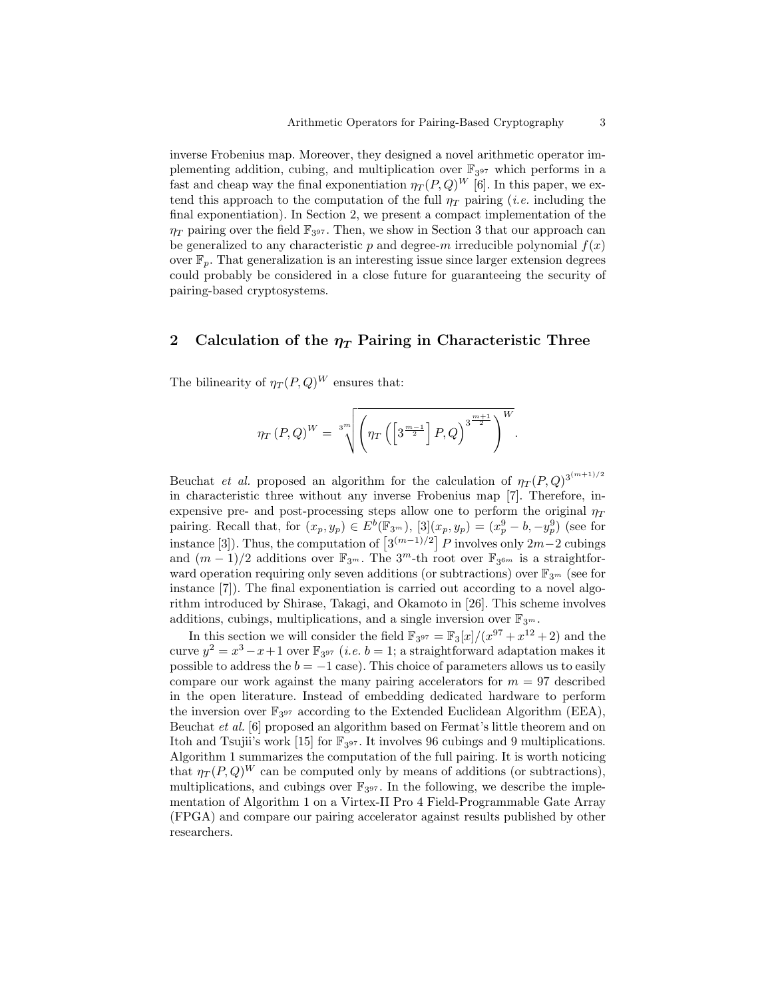inverse Frobenius map. Moreover, they designed a novel arithmetic operator implementing addition, cubing, and multiplication over  $\mathbb{F}_{3^{97}}$  which performs in a fast and cheap way the final exponentiation  $\eta_T(P,Q)^W$  [6]. In this paper, we extend this approach to the computation of the full  $\eta_T$  pairing (*i.e.* including the final exponentiation). In Section 2, we present a compact implementation of the  $\eta_T$  pairing over the field  $\mathbb{F}_{3^{97}}$ . Then, we show in Section 3 that our approach can be generalized to any characteristic p and degree-m irreducible polynomial  $f(x)$ over  $\mathbb{F}_p$ . That generalization is an interesting issue since larger extension degrees could probably be considered in a close future for guaranteeing the security of pairing-based cryptosystems.

# 2 Calculation of the  $\eta_T$  Pairing in Characteristic Three

The bilinearity of  $\eta_T(P,Q)^W$  ensures that:

$$
\eta_T(P,Q)^W = \sqrt[3^m]{\left(\eta_T\left(\left[3^{\frac{m-1}{2}}\right]P,Q\right)^{3^{\frac{m+1}{2}}}\right)^W}.
$$

Beuchat *et al.* proposed an algorithm for the calculation of  $\eta_T(P,Q)^{3^{(m+1)/2}}$ in characteristic three without any inverse Frobenius map [7]. Therefore, inexpensive pre- and post-processing steps allow one to perform the original  $\eta_T$ pairing. Recall that, for  $(x_p, y_p) \in E^b(\mathbb{F}_{3^m})$ ,  $[3](x_p, y_p) = (x_p^9 - b, -y_p^9)$  (see for instance [3]). Thus, the computation of  $\left[3^{(m-1)/2}\right]P$  involves only  $2m-2$  cubings and  $(m-1)/2$  additions over  $\mathbb{F}_{3^m}$ . The  $3^m$ -th root over  $\mathbb{F}_{3^{6m}}$  is a straightforward operation requiring only seven additions (or subtractions) over  $\mathbb{F}_{3^m}$  (see for instance [7]). The final exponentiation is carried out according to a novel algorithm introduced by Shirase, Takagi, and Okamoto in [26]. This scheme involves additions, cubings, multiplications, and a single inversion over  $\mathbb{F}_{3^m}$ .

In this section we will consider the field  $\mathbb{F}_{3^{97}} = \mathbb{F}_{3}[x]/(x^{97} + x^{12} + 2)$  and the curve  $y^2 = x^3 - x + 1$  over  $\mathbb{F}_{3^{97}}$  (*i.e.*  $b = 1$ ; a straightforward adaptation makes it possible to address the  $b = -1$  case). This choice of parameters allows us to easily compare our work against the many pairing accelerators for  $m = 97$  described in the open literature. Instead of embedding dedicated hardware to perform the inversion over  $\mathbb{F}_{3^{97}}$  according to the Extended Euclidean Algorithm (EEA), Beuchat et al. [6] proposed an algorithm based on Fermat's little theorem and on Itoh and Tsujii's work [15] for  $\mathbb{F}_{3^{97}}$ . It involves 96 cubings and 9 multiplications. Algorithm 1 summarizes the computation of the full pairing. It is worth noticing that  $\eta_T(P,Q)^W$  can be computed only by means of additions (or subtractions), multiplications, and cubings over  $\mathbb{F}_{3^{97}}$ . In the following, we describe the implementation of Algorithm 1 on a Virtex-II Pro 4 Field-Programmable Gate Array (FPGA) and compare our pairing accelerator against results published by other researchers.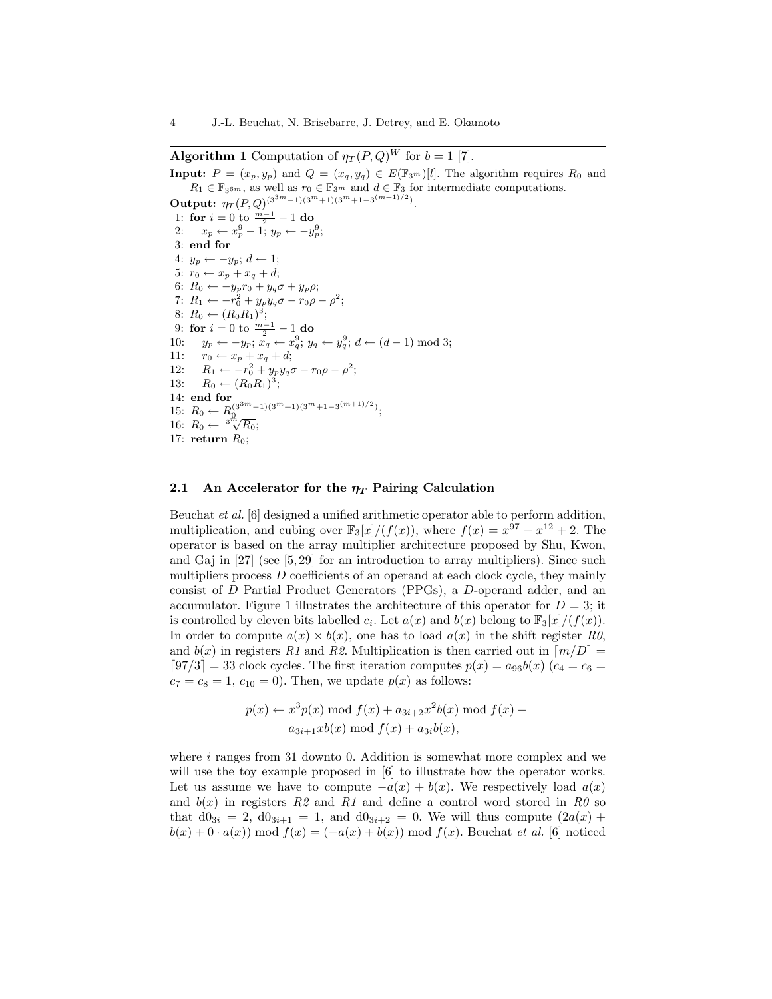**Algorithm 1** Computation of  $\eta_T(P,Q)^W$  for  $b=1$  [7].

**Input:**  $P = (x_p, y_p)$  and  $Q = (x_q, y_q) \in E(\mathbb{F}_{3^m})[l]$ . The algorithm requires  $R_0$  and  $R_1 \in \mathbb{F}_{3^{6m}}$ , as well as  $r_0 \in \mathbb{F}_{3^m}$  and  $d \in \mathbb{F}_3$  for intermediate computations.

**Output:**  $\eta_T(P,Q)^{(3^{3m}-1)(3^m+1)(3^m+1-3^{(m+1)/2})}.$ 1: for  $i = 0$  to  $\frac{m-1}{2} - 1$  do 2:  $x_p \leftarrow x_p^9 - 1$ ;  $y_p \leftarrow -y_p^9$ ; 3: end for 4:  $y_p \leftarrow -y_p$ ;  $d \leftarrow 1$ ; 5:  $r_0 \leftarrow x_p + x_q + d;$ 6:  $R_0 \leftarrow -y_p r_0 + y_q \sigma + y_p \rho;$ 7:  $R_1 \leftarrow -r_0^2 + y_p y_q \sigma - r_0 \rho - \rho^2;$ 8:  $R_0 \leftarrow (R_0 R_1)^3;$ 9: for  $i = 0$  to  $\frac{m-1}{2} - 1$  do 10:  $y_p \leftarrow -y_p; \ x_q \leftarrow x_q^9; \ y_q \leftarrow y_q^9; \ d \leftarrow (d-1) \text{ mod } 3;$ 11:  $r_0 \leftarrow x_p + x_q + d;$ 12:  $R_1 \leftarrow -r_0^2 + y_p y_q \sigma - r_0 \rho - \rho^2;$ 13:  $R_0 \leftarrow (R_0 R_1)^3;$ 14: end for 15:  $R_0 \leftarrow R_0^{(3^{3m}-1)(3^m+1)(3^m+1-3^{(m+1)/2})};$ <br>16:  $R_0 \leftarrow {}^{3^m}\sqrt{R_0};$ 17: return  $R_0$ ;

#### 2.1 An Accelerator for the  $\eta$  Pairing Calculation

Beuchat et al. [6] designed a unified arithmetic operator able to perform addition, multiplication, and cubing over  $\mathbb{F}_3[x]/(f(x))$ , where  $f(x) = x^{97} + x^{12} + 2$ . The operator is based on the array multiplier architecture proposed by Shu, Kwon, and Gaj in [27] (see [5, 29] for an introduction to array multipliers). Since such multipliers process D coefficients of an operand at each clock cycle, they mainly consist of D Partial Product Generators (PPGs), a D-operand adder, and an accumulator. Figure 1 illustrates the architecture of this operator for  $D = 3$ ; it is controlled by eleven bits labelled  $c_i$ . Let  $a(x)$  and  $b(x)$  belong to  $\mathbb{F}_3[x]/(f(x))$ . In order to compute  $a(x) \times b(x)$ , one has to load  $a(x)$  in the shift register R0, and  $b(x)$  in registers R1 and R2. Multiplication is then carried out in  $\lfloor m/D \rfloor =$  $[97/3] = 33$  clock cycles. The first iteration computes  $p(x) = a_{96}b(x)$  ( $c_4 = c_6 =$  $c_7 = c_8 = 1$ ,  $c_{10} = 0$ . Then, we update  $p(x)$  as follows:

$$
p(x) \leftarrow x^3 p(x) \mod f(x) + a_{3i+2}x^2 b(x) \mod f(x) + a_{3i+1}xb(x) \mod f(x) + a_{3i}b(x),
$$

where  $i$  ranges from 31 downto 0. Addition is somewhat more complex and we will use the toy example proposed in  $[6]$  to illustrate how the operator works. Let us assume we have to compute  $-a(x) + b(x)$ . We respectively load  $a(x)$ and  $b(x)$  in registers R2 and R1 and define a control word stored in R0 so that  $d0_{3i} = 2$ ,  $d0_{3i+1} = 1$ , and  $d0_{3i+2} = 0$ . We will thus compute  $(2a(x) +$  $b(x) + 0 \cdot a(x)$  mod  $f(x) = (-a(x) + b(x))$  mod  $f(x)$ . Beuchat *et al.* [6] noticed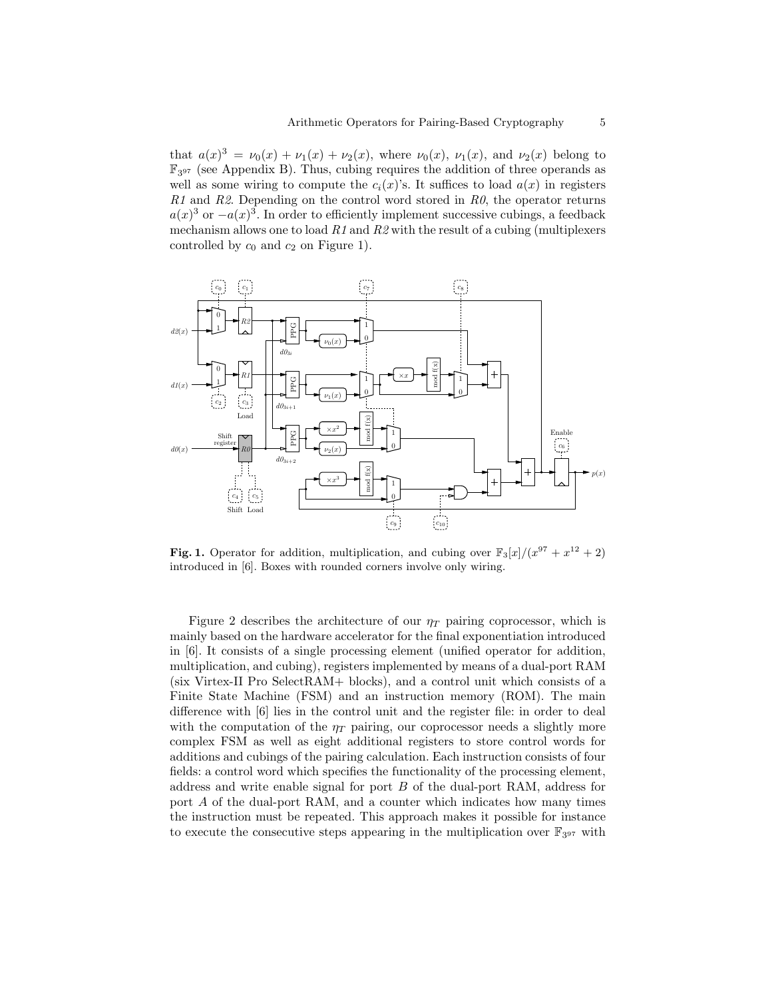that  $a(x)^3 = \nu_0(x) + \nu_1(x) + \nu_2(x)$ , where  $\nu_0(x)$ ,  $\nu_1(x)$ , and  $\nu_2(x)$  belong to F3 <sup>97</sup> (see Appendix B). Thus, cubing requires the addition of three operands as well as some wiring to compute the  $c_i(x)$ 's. It suffices to load  $a(x)$  in registers  $R1$  and  $R2$ . Depending on the control word stored in  $R0$ , the operator returns  $a(x)^3$  or  $-a(x)^3$ . In order to efficiently implement successive cubings, a feedback mechanism allows one to load  $R1$  and  $R2$  with the result of a cubing (multiplexers controlled by  $c_0$  and  $c_2$  on Figure 1).



Fig. 1. Operator for addition, multiplication, and cubing over  $\mathbb{F}_3[x]/(x^{97} + x^{12} + 2)$ introduced in [6]. Boxes with rounded corners involve only wiring.

Figure 2 describes the architecture of our  $\eta_T$  pairing coprocessor, which is mainly based on the hardware accelerator for the final exponentiation introduced in [6]. It consists of a single processing element (unified operator for addition, multiplication, and cubing), registers implemented by means of a dual-port RAM (six Virtex-II Pro SelectRAM+ blocks), and a control unit which consists of a Finite State Machine (FSM) and an instruction memory (ROM). The main difference with [6] lies in the control unit and the register file: in order to deal with the computation of the  $\eta_T$  pairing, our coprocessor needs a slightly more complex FSM as well as eight additional registers to store control words for additions and cubings of the pairing calculation. Each instruction consists of four fields: a control word which specifies the functionality of the processing element, address and write enable signal for port B of the dual-port RAM, address for port A of the dual-port RAM, and a counter which indicates how many times the instruction must be repeated. This approach makes it possible for instance to execute the consecutive steps appearing in the multiplication over  $\mathbb{F}_{3^{97}}$  with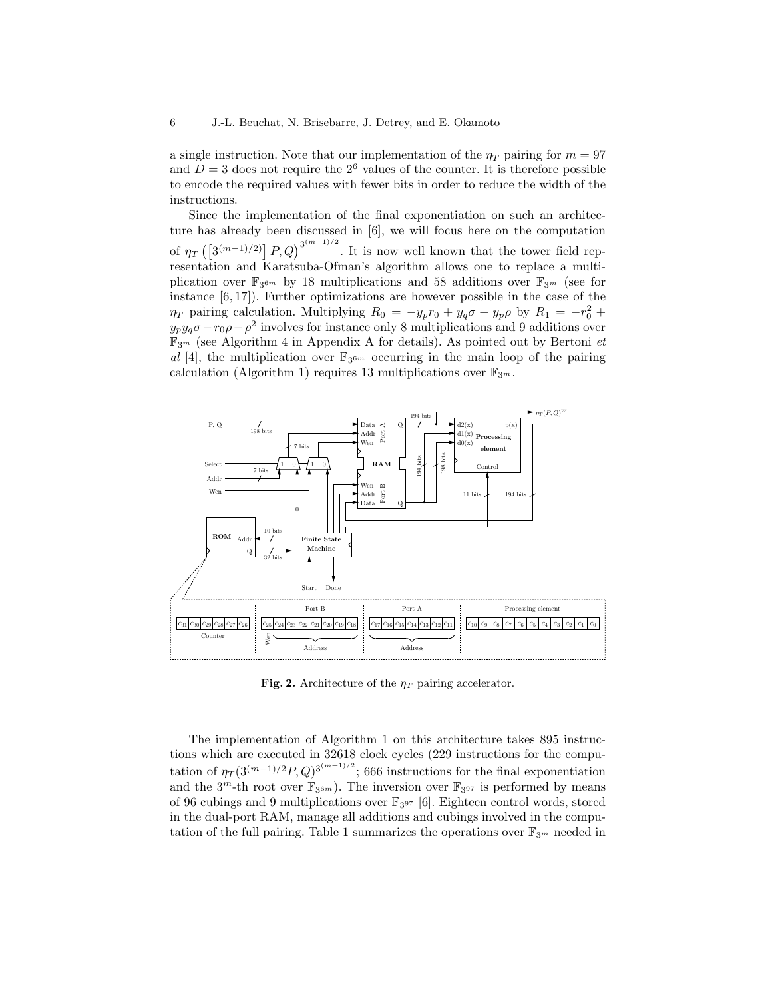a single instruction. Note that our implementation of the  $\eta_T$  pairing for  $m = 97$ and  $D = 3$  does not require the  $2<sup>6</sup>$  values of the counter. It is therefore possible to encode the required values with fewer bits in order to reduce the width of the instructions.

Since the implementation of the final exponentiation on such an architecture has already been discussed in [6], we will focus here on the computation of  $\eta_T\left(\left[3^{(m-1)/2}\right]P,Q\right)^{3^{(m+1)/2}}$ . It is now well known that the tower field representation and Karatsuba-Ofman's algorithm allows one to replace a multiplication over  $\mathbb{F}_{3^{6m}}$  by 18 multiplications and 58 additions over  $\mathbb{F}_{3^m}$  (see for instance [6, 17]). Further optimizations are however possible in the case of the  $\eta_T$  pairing calculation. Multiplying  $R_0 = -y_p r_0 + y_q \sigma + y_p \rho$  by  $R_1 = -r_0^2 +$  $y_p y_q \sigma - r_0 \rho - \rho^2$  involves for instance only 8 multiplications and 9 additions over  $\mathbb{F}_{3^m}$  (see Algorithm 4 in Appendix A for details). As pointed out by Bertoni *et* al [4], the multiplication over  $\mathbb{F}_{3^{6m}}$  occurring in the main loop of the pairing calculation (Algorithm 1) requires 13 multiplications over  $\mathbb{F}_{3^m}$ .



Fig. 2. Architecture of the  $\eta_T$  pairing accelerator.

The implementation of Algorithm 1 on this architecture takes 895 instructions which are executed in 32618 clock cycles (229 instructions for the computation of  $\eta_T(3^{(m-1)/2}P,Q)^{3^{(m+1)/2}}$ ; 666 instructions for the final exponentiation and the  $3^m$ -th root over  $\mathbb{F}_{3^{6m}}$ ). The inversion over  $\mathbb{F}_{3^{97}}$  is performed by means of 96 cubings and 9 multiplications over  $\mathbb{F}_{3^{97}}$  [6]. Eighteen control words, stored in the dual-port RAM, manage all additions and cubings involved in the computation of the full pairing. Table 1 summarizes the operations over  $\mathbb{F}_{3^m}$  needed in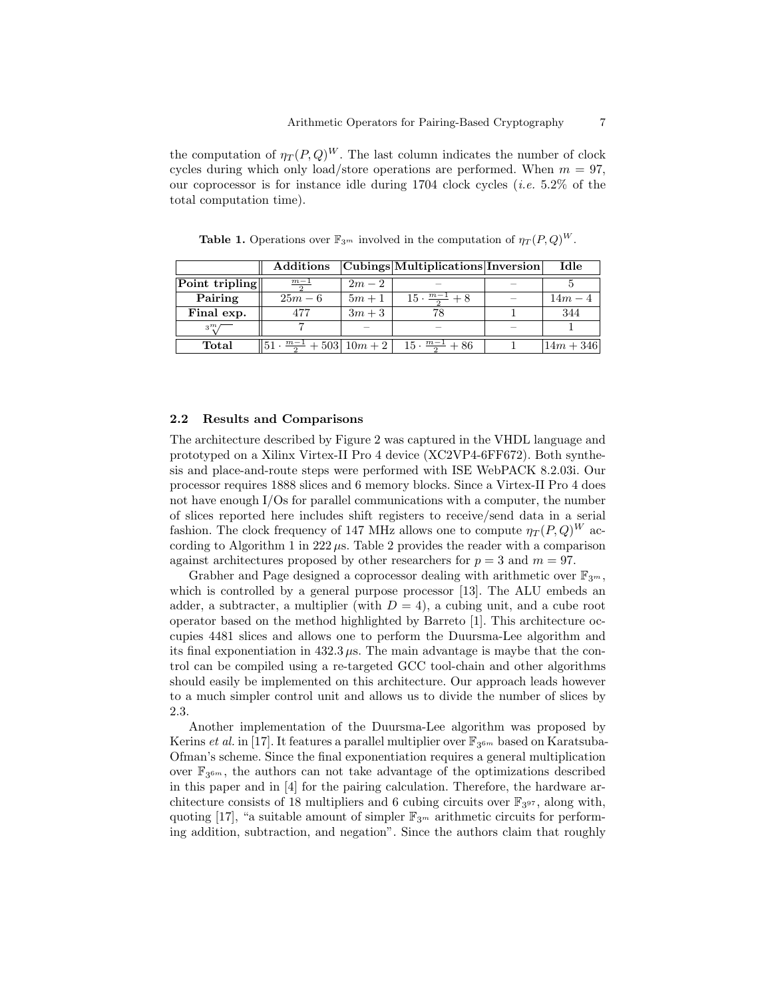the computation of  $\eta_T(P,Q)^W$ . The last column indicates the number of clock cycles during which only load/store operations are performed. When  $m = 97$ , our coprocessor is for instance idle during  $1704$  clock cycles (*i.e.* 5.2% of the total computation time).

**Table 1.** Operations over  $\mathbb{F}_{3^m}$  involved in the computation of  $\eta_T(P,Q)^W$ .

|                | Additions                                 |        | $ Cubings $ Multiplications Inversion | Idle        |
|----------------|-------------------------------------------|--------|---------------------------------------|-------------|
| Point tripling | $m-1$                                     | $2m-2$ |                                       |             |
| Pairing        | $25m-6$                                   | $5m+1$ | $15 \cdot \frac{m-1}{2} + 8$          | $14m - 4$   |
| Final exp.     | 477                                       | $3m+3$ |                                       | 344         |
| $3^m$          |                                           |        |                                       |             |
| Total          | $ 51 \cdot \frac{m-1}{2} + 503  10m + 2 $ |        | $15 \cdot \frac{m-1}{2} + 86$         | $14m + 346$ |

#### 2.2 Results and Comparisons

The architecture described by Figure 2 was captured in the VHDL language and prototyped on a Xilinx Virtex-II Pro 4 device (XC2VP4-6FF672). Both synthesis and place-and-route steps were performed with ISE WebPACK 8.2.03i. Our processor requires 1888 slices and 6 memory blocks. Since a Virtex-II Pro 4 does not have enough I/Os for parallel communications with a computer, the number of slices reported here includes shift registers to receive/send data in a serial fashion. The clock frequency of 147 MHz allows one to compute  $\eta_T(P,Q)^W$  according to Algorithm 1 in  $222 \mu s$ . Table 2 provides the reader with a comparison against architectures proposed by other researchers for  $p = 3$  and  $m = 97$ .

Grabher and Page designed a coprocessor dealing with arithmetic over  $\mathbb{F}_{3^m}$ , which is controlled by a general purpose processor [13]. The ALU embeds an adder, a subtracter, a multiplier (with  $D = 4$ ), a cubing unit, and a cube root operator based on the method highlighted by Barreto [1]. This architecture occupies 4481 slices and allows one to perform the Duursma-Lee algorithm and its final exponentiation in  $432.3 \mu s$ . The main advantage is maybe that the control can be compiled using a re-targeted GCC tool-chain and other algorithms should easily be implemented on this architecture. Our approach leads however to a much simpler control unit and allows us to divide the number of slices by 2.3.

Another implementation of the Duursma-Lee algorithm was proposed by Kerins *et al.* in [17]. It features a parallel multiplier over  $\mathbb{F}_{3^{6m}}$  based on Karatsuba-Ofman's scheme. Since the final exponentiation requires a general multiplication over  $\mathbb{F}_{3^{6m}}$ , the authors can not take advantage of the optimizations described in this paper and in [4] for the pairing calculation. Therefore, the hardware architecture consists of 18 multipliers and 6 cubing circuits over  $\mathbb{F}_{3^{97}}$ , along with, quoting [17], "a suitable amount of simpler  $\mathbb{F}_{3^m}$  arithmetic circuits for performing addition, subtraction, and negation". Since the authors claim that roughly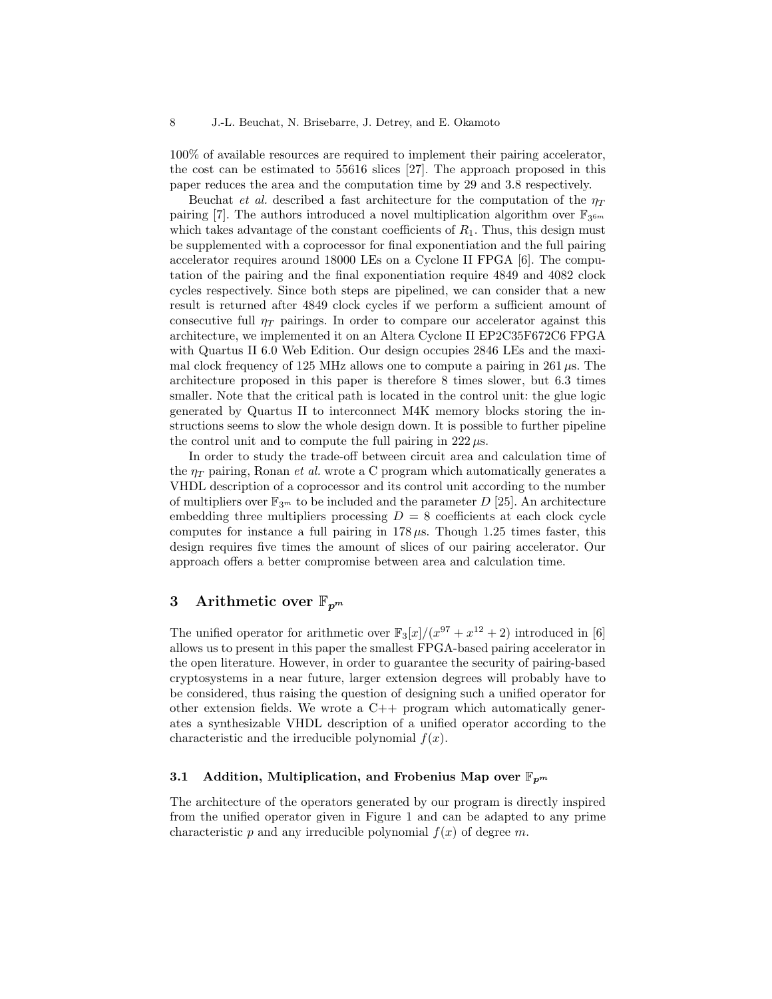100% of available resources are required to implement their pairing accelerator, the cost can be estimated to 55616 slices [27]. The approach proposed in this paper reduces the area and the computation time by 29 and 3.8 respectively.

Beuchat *et al.* described a fast architecture for the computation of the  $\eta_T$ pairing [7]. The authors introduced a novel multiplication algorithm over  $\mathbb{F}_{3^{6m}}$ which takes advantage of the constant coefficients of  $R_1$ . Thus, this design must be supplemented with a coprocessor for final exponentiation and the full pairing accelerator requires around 18000 LEs on a Cyclone II FPGA [6]. The computation of the pairing and the final exponentiation require 4849 and 4082 clock cycles respectively. Since both steps are pipelined, we can consider that a new result is returned after 4849 clock cycles if we perform a sufficient amount of consecutive full  $\eta_T$  pairings. In order to compare our accelerator against this architecture, we implemented it on an Altera Cyclone II EP2C35F672C6 FPGA with Quartus II 6.0 Web Edition. Our design occupies 2846 LEs and the maximal clock frequency of 125 MHz allows one to compute a pairing in 261  $\mu$ s. The architecture proposed in this paper is therefore 8 times slower, but 6.3 times smaller. Note that the critical path is located in the control unit: the glue logic generated by Quartus II to interconnect M4K memory blocks storing the instructions seems to slow the whole design down. It is possible to further pipeline the control unit and to compute the full pairing in  $222 \mu s$ .

In order to study the trade-off between circuit area and calculation time of the  $\eta_T$  pairing, Ronan *et al.* wrote a C program which automatically generates a VHDL description of a coprocessor and its control unit according to the number of multipliers over  $\mathbb{F}_{3^m}$  to be included and the parameter D [25]. An architecture embedding three multipliers processing  $D = 8$  coefficients at each clock cycle computes for instance a full pairing in  $178 \mu s$ . Though 1.25 times faster, this design requires five times the amount of slices of our pairing accelerator. Our approach offers a better compromise between area and calculation time.

### 3 Arithmetic over  $\mathbb{F}_{p^m}$

The unified operator for arithmetic over  $\mathbb{F}_3[x]/(x^{97} + x^{12} + 2)$  introduced in [6] allows us to present in this paper the smallest FPGA-based pairing accelerator in the open literature. However, in order to guarantee the security of pairing-based cryptosystems in a near future, larger extension degrees will probably have to be considered, thus raising the question of designing such a unified operator for other extension fields. We wrote a C++ program which automatically generates a synthesizable VHDL description of a unified operator according to the characteristic and the irreducible polynomial  $f(x)$ .

### 3.1 Addition, Multiplication, and Frobenius Map over  $\mathbb{F}_{p^m}$

The architecture of the operators generated by our program is directly inspired from the unified operator given in Figure 1 and can be adapted to any prime characteristic p and any irreducible polynomial  $f(x)$  of degree m.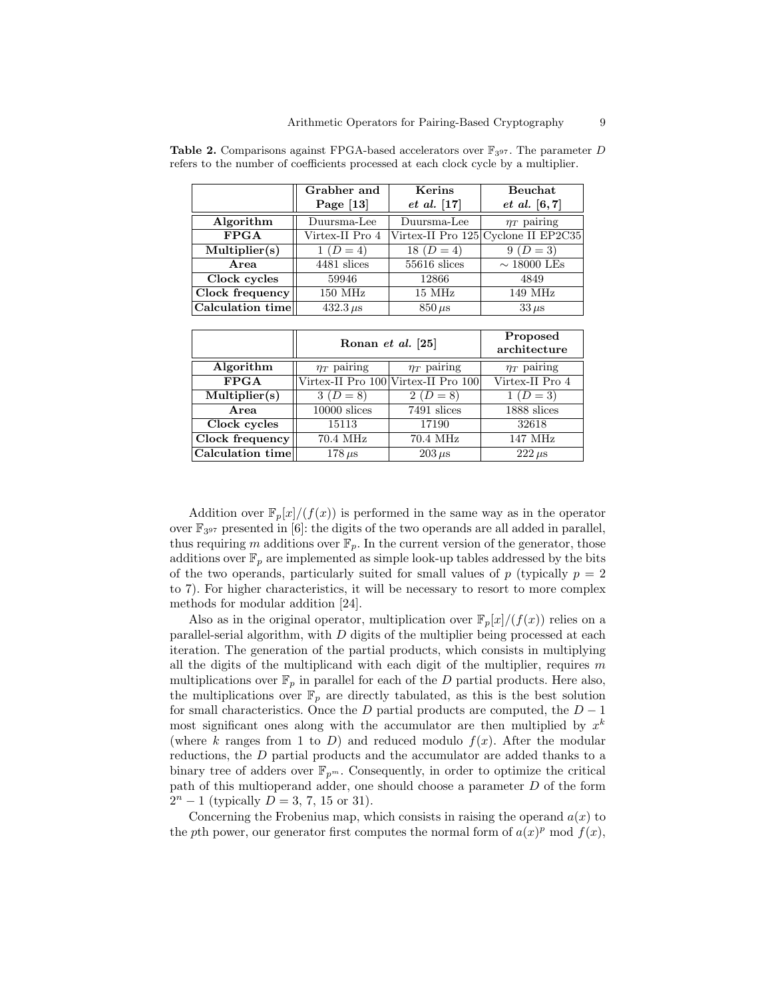|                          | Grabher and     | Kerins          | Beuchat                             |
|--------------------------|-----------------|-----------------|-------------------------------------|
|                          | Page $[13]$     | $et\ al.\ [17]$ | <i>et al.</i> $[6, 7]$              |
| Algorithm                | Duursma-Lee     | Duursma-Lee     | $\eta_T$ pairing                    |
| $\overline{\text{FPGA}}$ | Virtex-II Pro 4 |                 | Virtex-II Pro 125 Cyclone II EP2C35 |
| Multiplier(s)            | $1 (D = 4)$     | 18 ( $D = 4$ )  | $9(D=3)$                            |
| Area                     | 4481 slices     | 55616 slices    | $\sim$ 18000 LEs                    |
| Clock cycles             | 59946           | 12866           | 4849                                |
| Clock frequency          | 150 MHz         | 15 MHz          | 149 MHz                             |
| Calculation time         | $432.3 \,\mu s$ | $850 \,\mu s$   | $33 \,\mu s$                        |

**Table 2.** Comparisons against FPGA-based accelerators over  $\mathbb{F}_{397}$ . The parameter D refers to the number of coefficients processed at each clock cycle by a multiplier.

|                   | Ronan et al. [25] | Proposed<br>architecture            |                  |
|-------------------|-------------------|-------------------------------------|------------------|
| Algorithm         | $\eta_T$ pairing  | $\eta_T$ pairing                    | $\eta_T$ pairing |
| <b>FPGA</b>       |                   | Virtex-II Pro 100 Virtex-II Pro 100 | Virtex-II Pro 4  |
| Multiplier(s)     | $3(D=8)$          | $2(D=8)$                            | $1 (D = 3)$      |
| Area              | $10000$ slices    | 7491 slices                         | 1888 slices      |
| Clock cycles      | 15113             | 17190                               | 32618            |
| $Clock$ frequency | 70.4 MHz          | 70.4 MHz                            | 147 MHz          |
| Calculation time  | $178 \,\mu s$     | $203 \,\mu s$                       | $222 \,\mu s$    |

Addition over  $\mathbb{F}_p[x]/(f(x))$  is performed in the same way as in the operator over  $\mathbb{F}_{3^{97}}$  presented in [6]: the digits of the two operands are all added in parallel, thus requiring m additions over  $\mathbb{F}_p$ . In the current version of the generator, those additions over  $\mathbb{F}_p$  are implemented as simple look-up tables addressed by the bits of the two operands, particularly suited for small values of  $p$  (typically  $p = 2$ ) to 7). For higher characteristics, it will be necessary to resort to more complex methods for modular addition [24].

Also as in the original operator, multiplication over  $\mathbb{F}_p[x]/(f(x))$  relies on a parallel-serial algorithm, with D digits of the multiplier being processed at each iteration. The generation of the partial products, which consists in multiplying all the digits of the multiplicand with each digit of the multiplier, requires  $m$ multiplications over  $\mathbb{F}_p$  in parallel for each of the D partial products. Here also, the multiplications over  $\mathbb{F}_p$  are directly tabulated, as this is the best solution for small characteristics. Once the D partial products are computed, the  $D-1$ most significant ones along with the accumulator are then multiplied by  $x^k$ (where k ranges from 1 to D) and reduced modulo  $f(x)$ . After the modular reductions, the D partial products and the accumulator are added thanks to a binary tree of adders over  $\mathbb{F}_{p^m}$ . Consequently, in order to optimize the critical path of this multioperand adder, one should choose a parameter D of the form  $2^{n} - 1$  (typically  $D = 3, 7, 15$  or 31).

Concerning the Frobenius map, which consists in raising the operand  $a(x)$  to the pth power, our generator first computes the normal form of  $a(x)^p \mod f(x)$ ,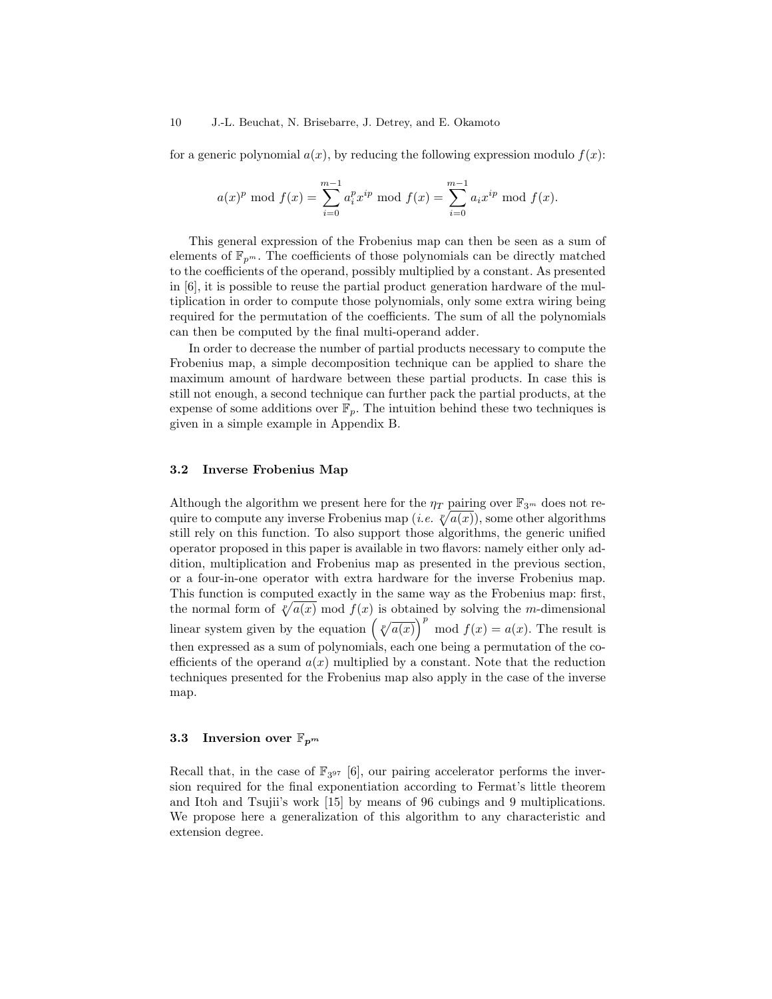#### 10 J.-L. Beuchat, N. Brisebarre, J. Detrey, and E. Okamoto

for a generic polynomial  $a(x)$ , by reducing the following expression modulo  $f(x)$ :

$$
a(x)^p
$$
 mod  $f(x) = \sum_{i=0}^{m-1} a_i^p x^{ip} \mod f(x) = \sum_{i=0}^{m-1} a_i x^{ip} \mod f(x).$ 

This general expression of the Frobenius map can then be seen as a sum of elements of  $\mathbb{F}_{p^m}$ . The coefficients of those polynomials can be directly matched to the coefficients of the operand, possibly multiplied by a constant. As presented in [6], it is possible to reuse the partial product generation hardware of the multiplication in order to compute those polynomials, only some extra wiring being required for the permutation of the coefficients. The sum of all the polynomials can then be computed by the final multi-operand adder.

In order to decrease the number of partial products necessary to compute the Frobenius map, a simple decomposition technique can be applied to share the maximum amount of hardware between these partial products. In case this is still not enough, a second technique can further pack the partial products, at the expense of some additions over  $\mathbb{F}_p$ . The intuition behind these two techniques is given in a simple example in Appendix B.

### 3.2 Inverse Frobenius Map

Although the algorithm we present here for the  $\eta_T$  pairing over  $\mathbb{F}_{3^m}$  does not require to compute any inverse Frobenius map (*i.e.*  $\ell/a(x)$ ), some other algorithms still rely on this function. To also support those algorithms, the generic unified operator proposed in this paper is available in two flavors: namely either only addition, multiplication and Frobenius map as presented in the previous section, or a four-in-one operator with extra hardware for the inverse Frobenius map. This function is computed exactly in the same way as the Frobenius map: first, the normal form of  $\sqrt[p]{a(x)}$  mod  $f(x)$  is obtained by solving the m-dimensional linear system given by the equation  $(\sqrt[p]{a(x)})^p$  mod  $f(x) = a(x)$ . The result is then expressed as a sum of polynomials, each one being a permutation of the coefficients of the operand  $a(x)$  multiplied by a constant. Note that the reduction techniques presented for the Frobenius map also apply in the case of the inverse map.

#### 3.3 Inversion over  $\mathbb{F}_{p^m}$

Recall that, in the case of  $\mathbb{F}_{3^{97}}$  [6], our pairing accelerator performs the inversion required for the final exponentiation according to Fermat's little theorem and Itoh and Tsujii's work [15] by means of 96 cubings and 9 multiplications. We propose here a generalization of this algorithm to any characteristic and extension degree.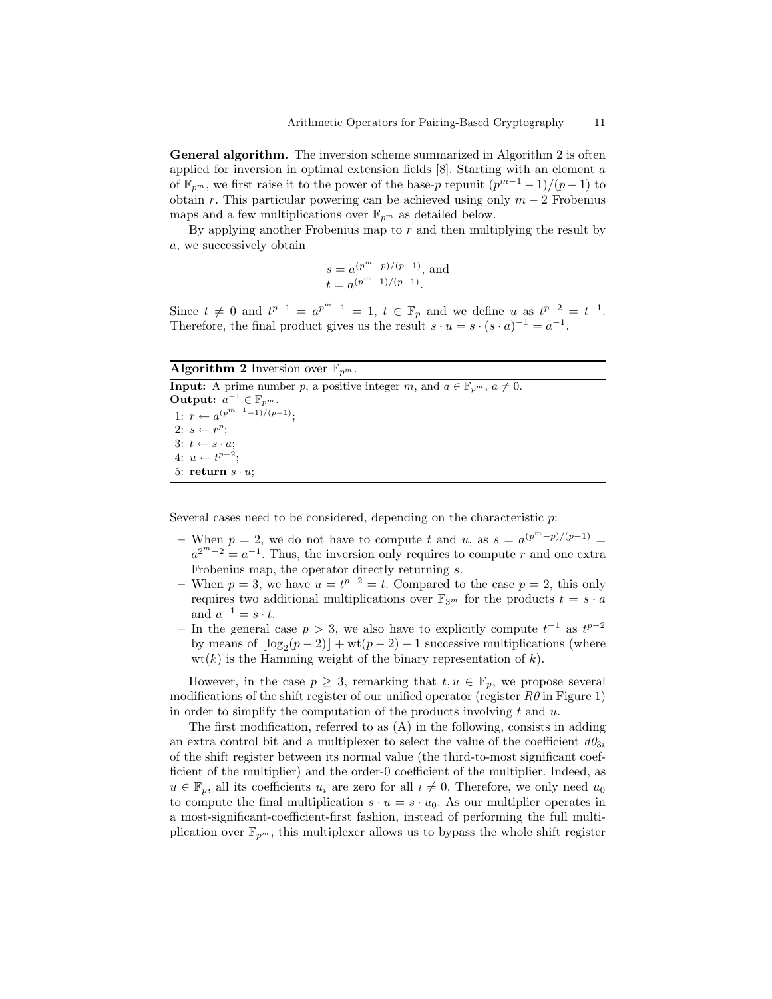General algorithm. The inversion scheme summarized in Algorithm 2 is often applied for inversion in optimal extension fields [8]. Starting with an element a of  $\mathbb{F}_{p^m}$ , we first raise it to the power of the base-p repunit  $(p^{m-1}-1)/(p-1)$  to obtain r. This particular powering can be achieved using only  $m - 2$  Frobenius maps and a few multiplications over  $\mathbb{F}_{p^m}$  as detailed below.

By applying another Frobenius map to  $r$  and then multiplying the result by a, we successively obtain

$$
s = a^{(p^m - p)/(p-1)}
$$
, and  
\n $t = a^{(p^m - 1)/(p-1)}$ .

Since  $t \neq 0$  and  $t^{p-1} = a^{p^m-1} = 1$ ,  $t \in \mathbb{F}_p$  and we define u as  $t^{p-2} = t^{-1}$ . Therefore, the final product gives us the result  $s \cdot u = s \cdot (s \cdot a)^{-1} = a^{-1}$ .

#### **Algorithm 2** Inversion over  $\mathbb{F}_{p^m}$ .

**Input:** A prime number p, a positive integer m, and  $a \in \mathbb{F}_{p^m}$ ,  $a \neq 0$ . Output:  $a^{-1} \in \mathbb{F}_{p^m}$ . 1:  $r \leftarrow a^{(p^{m-1}-1)/(p-1)}$ ; 2:  $s \leftarrow r^p$ ; 3:  $t \leftarrow s \cdot a;$ 4:  $u \leftarrow t^{p-2}$ ; 5: return  $s \cdot u$ ;

Several cases need to be considered, depending on the characteristic  $p$ :

- When  $p = 2$ , we do not have to compute t and u, as  $s = a^{(p^m p)/(p-1)}$  $a^{2^m-2} = a^{-1}$ . Thus, the inversion only requires to compute r and one extra Frobenius map, the operator directly returning s.
- When  $p = 3$ , we have  $u = t^{p-2} = t$ . Compared to the case  $p = 2$ , this only requires two additional multiplications over  $\mathbb{F}_{3^m}$  for the products  $t = s \cdot a$ and  $a^{-1} = s \cdot t$ .
- − In the general case  $p > 3$ , we also have to explicitly compute  $t^{-1}$  as  $t^{p-2}$ by means of  $\lfloor \log_2(p-2) \rfloor + \text{wt}(p-2) - 1$  successive multiplications (where  $wt(k)$  is the Hamming weight of the binary representation of k).

However, in the case  $p \geq 3$ , remarking that  $t, u \in \mathbb{F}_p$ , we propose several modifications of the shift register of our unified operator (register  $R\theta$  in Figure 1) in order to simplify the computation of the products involving t and  $u$ .

The first modification, referred to as (A) in the following, consists in adding an extra control bit and a multiplexer to select the value of the coefficient  $d\theta_{3i}$ of the shift register between its normal value (the third-to-most significant coefficient of the multiplier) and the order-0 coefficient of the multiplier. Indeed, as  $u \in \mathbb{F}_p$ , all its coefficients  $u_i$  are zero for all  $i \neq 0$ . Therefore, we only need  $u_0$ to compute the final multiplication  $s \cdot u = s \cdot u_0$ . As our multiplier operates in a most-significant-coefficient-first fashion, instead of performing the full multiplication over  $\mathbb{F}_{p^m}$ , this multiplexer allows us to bypass the whole shift register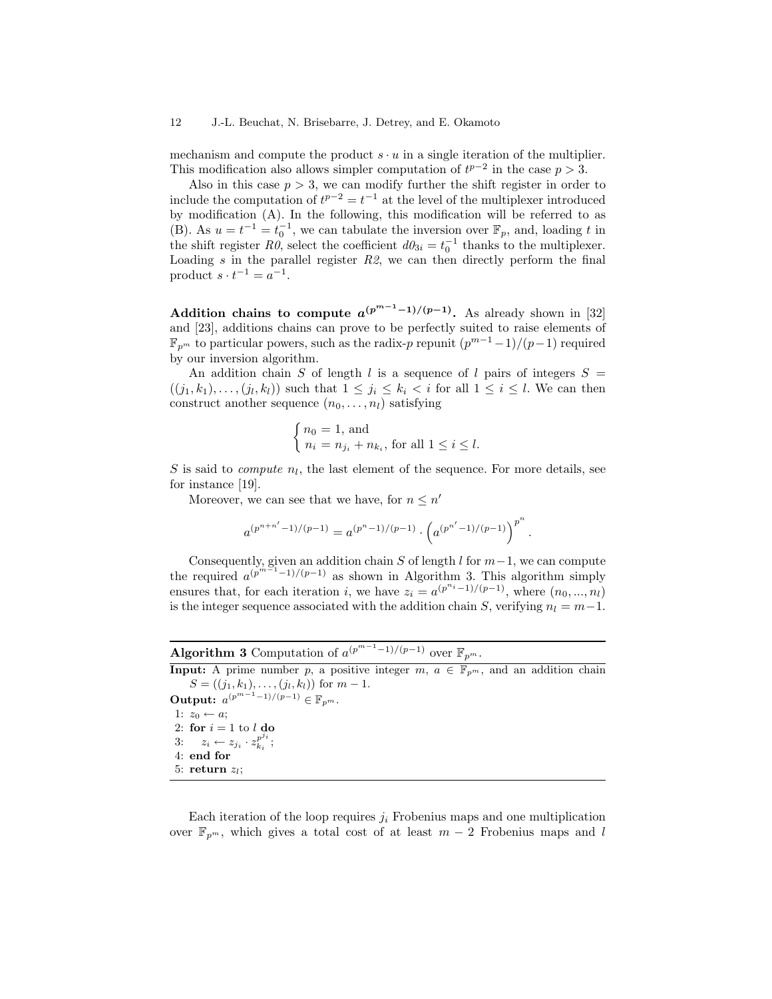#### 12 J.-L. Beuchat, N. Brisebarre, J. Detrey, and E. Okamoto

mechanism and compute the product  $s \cdot u$  in a single iteration of the multiplier. This modification also allows simpler computation of  $t^{p-2}$  in the case  $p > 3$ .

Also in this case  $p > 3$ , we can modify further the shift register in order to include the computation of  $t^{p-2} = t^{-1}$  at the level of the multiplexer introduced by modification (A). In the following, this modification will be referred to as (B). As  $u = t^{-1} = t_0^{-1}$ , we can tabulate the inversion over  $\mathbb{F}_p$ , and, loading t in the shift register  $R\ddot{\theta}$ , select the coefficient  $d\theta_{3i} = t_0^{-1}$  thanks to the multiplexer. Loading  $s$  in the parallel register  $R2$ , we can then directly perform the final product  $s \cdot t^{-1} = a^{-1}$ .

Addition chains to compute  $a^{(p^{m-1}-1)/(p-1)}$ . As already shown in [32] and [23], additions chains can prove to be perfectly suited to raise elements of  $\mathbb{F}_{p^m}$  to particular powers, such as the radix-p repunit  $(p^{m-1}-1)/(p-1)$  required by our inversion algorithm.

An addition chain S of length l is a sequence of l pairs of integers  $S =$  $((j_1, k_1), \ldots, (j_l, k_l))$  such that  $1 \leq j_i \leq k_i < i$  for all  $1 \leq i \leq l$ . We can then construct another sequence  $(n_0, \ldots, n_l)$  satisfying

$$
\begin{cases} n_0 = 1, \text{ and} \\ n_i = n_{j_i} + n_{k_i}, \text{ for all } 1 \le i \le l. \end{cases}
$$

 $S$  is said to *compute*  $n_l$ , the last element of the sequence. For more details, see for instance [19].

Moreover, we can see that we have, for  $n \leq n'$ 

$$
a^{(p^{n+n'}-1)/(p-1)} = a^{(p^n-1)/(p-1)} \cdot \left( a^{(p^{n'}-1)/(p-1)} \right)^{p^n}.
$$

Consequently, given an addition chain S of length  $l$  for  $m-1$ , we can compute the required  $a^{(p^m-1)/(p-1)}$  as shown in Algorithm 3. This algorithm simply ensures that, for each iteration i, we have  $z_i = a^{(p^{n_i}-1)/(p-1)}$ , where  $(n_0, ..., n_l)$ is the integer sequence associated with the addition chain S, verifying  $n_l = m-1$ .

**Algorithm 3** Computation of  $a^{(p^{m-1}-1)/(p-1)}$  over  $\mathbb{F}_{p^m}$ .

**Input:** A prime number p, a positive integer m,  $a \in \mathbb{F}_{p^m}$ , and an addition chain  $S = ((j_1, k_1), \ldots, (j_l, k_l))$  for  $m - 1$ . Output:  $a^{(p^{m-1}-1)/(p-1)} \in \mathbb{F}_{p^m}$ .

1:  $z_0 \leftarrow a$ ; 2: for  $i = 1$  to  $l$  do 3:  $z_i \leftarrow z_{j_i} \cdot z_{k_i}^{p^{j_i}}$  $\frac{p^{j}i}{k_i};$ 4: end for 5: return  $z_l$ ;

Each iteration of the loop requires  $j_i$  Frobenius maps and one multiplication over  $\mathbb{F}_{p^m}$ , which gives a total cost of at least  $m-2$  Frobenius maps and l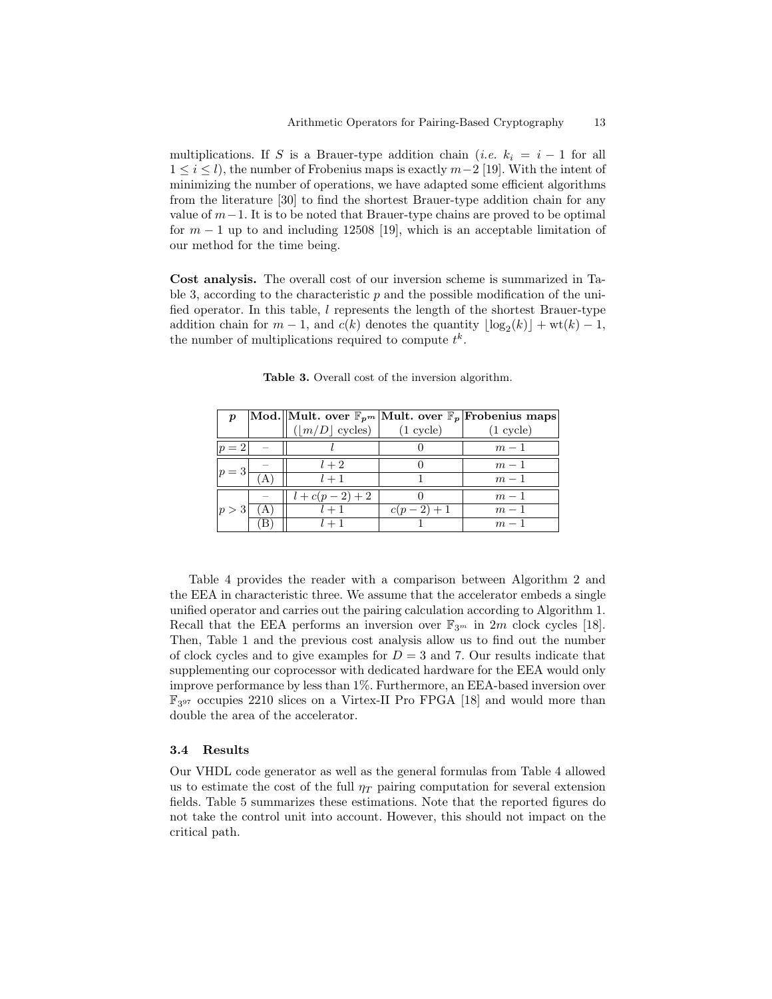multiplications. If S is a Brauer-type addition chain (i.e.  $k_i = i - 1$  for all  $1 \leq i \leq l$ , the number of Frobenius maps is exactly  $m-2$  [19]. With the intent of minimizing the number of operations, we have adapted some efficient algorithms from the literature [30] to find the shortest Brauer-type addition chain for any value of  $m-1$ . It is to be noted that Brauer-type chains are proved to be optimal for  $m - 1$  up to and including 12508 [19], which is an acceptable limitation of our method for the time being.

Cost analysis. The overall cost of our inversion scheme is summarized in Table 3, according to the characteristic  $p$  and the possible modification of the unified operator. In this table, l represents the length of the shortest Brauer-type addition chain for  $m-1$ , and  $c(k)$  denotes the quantity  $\lfloor \log_2(k) \rfloor + \text{wt}(k) - 1$ , the number of multiplications required to compute  $t^k$ .

| $\boldsymbol{p}$ |                    |                     | $ \text{Mod.}  $ Mult. over $\mathbb{F}_{p^m}$ Mult. over $\mathbb{F}_p$ Frobenius maps |
|------------------|--------------------|---------------------|-----------------------------------------------------------------------------------------|
|                  | $( m/D $ cycles)   | $(1 \text{ cycle})$ | $(1 \text{ cycle})$                                                                     |
| = 2              |                    |                     | $m-1$                                                                                   |
|                  | $l+2$              |                     | $m-1$                                                                                   |
|                  | $l + 1$            |                     | $m-1$                                                                                   |
|                  | $l + c(p - 2) + 2$ |                     | $m-1$                                                                                   |
| p>3              | $l + 1$            | $c(p-2)+1$          | $m-1$                                                                                   |
|                  | $l + 1$            |                     | $m-1$                                                                                   |

Table 3. Overall cost of the inversion algorithm.

Table 4 provides the reader with a comparison between Algorithm 2 and the EEA in characteristic three. We assume that the accelerator embeds a single unified operator and carries out the pairing calculation according to Algorithm 1. Recall that the EEA performs an inversion over  $\mathbb{F}_{3^m}$  in 2m clock cycles [18]. Then, Table 1 and the previous cost analysis allow us to find out the number of clock cycles and to give examples for  $D = 3$  and 7. Our results indicate that supplementing our coprocessor with dedicated hardware for the EEA would only improve performance by less than 1%. Furthermore, an EEA-based inversion over F3 <sup>97</sup> occupies 2210 slices on a Virtex-II Pro FPGA [18] and would more than double the area of the accelerator.

### 3.4 Results

Our VHDL code generator as well as the general formulas from Table 4 allowed us to estimate the cost of the full  $\eta_T$  pairing computation for several extension fields. Table 5 summarizes these estimations. Note that the reported figures do not take the control unit into account. However, this should not impact on the critical path.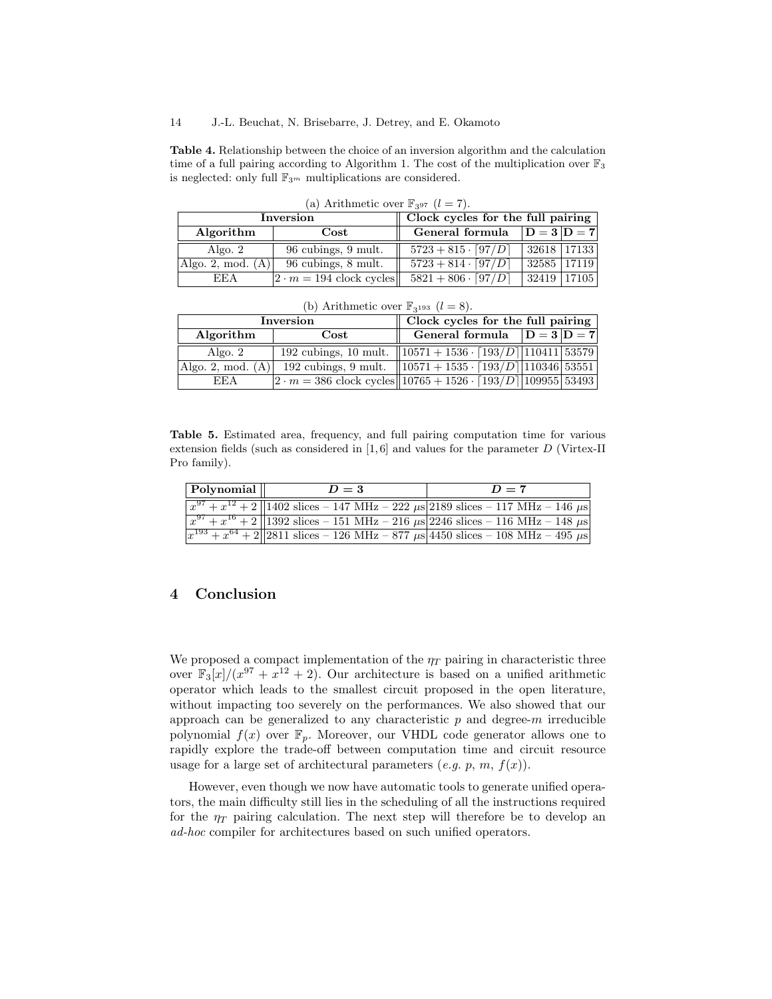Table 4. Relationship between the choice of an inversion algorithm and the calculation time of a full pairing according to Algorithm 1. The cost of the multiplication over  $\mathbb{F}_3$ is neglected: only full  $\mathbb{F}_{3^m}$  multiplications are considered.

| $\alpha$ , Altridittitud over $\alpha$ 397 $\alpha$ = 17. |                                 |                                       |                 |  |
|-----------------------------------------------------------|---------------------------------|---------------------------------------|-----------------|--|
| Inversion                                                 |                                 | Clock cycles for the full pairing     |                 |  |
| Algorithm                                                 | $\rm Cost$                      | General formula                       | $ D = 3 D = 7 $ |  |
| Algo. $2$                                                 | 96 cubings, 9 mult.             | $5723 + 815 \cdot [97/D]$             | 32618 17133     |  |
| Algo. 2, mod. $(A)$                                       | 96 cubings, 8 mult.             | $5723 + 814 \cdot \lceil 97/D \rceil$ | 32585 17119     |  |
| <b>EEA</b>                                                | $ 2 \cdot m = 194$ clock cycles | $5821 + 806 \cdot \lceil 97/D \rceil$ | $32419$   17105 |  |

(a) Arithmetic over  $\mathbb{F}_{397}$   $(l = 7)$ .

| Inversion           |                                                                          | Clock cycles for the full pairing                                                                        |  |  |
|---------------------|--------------------------------------------------------------------------|----------------------------------------------------------------------------------------------------------|--|--|
| Algorithm           | $\mathbf{Cost}$                                                          | General formula $D = 3D = 7$                                                                             |  |  |
| Algo. $2$           |                                                                          | 192 cubings, 10 mult. $\left  \frac{10571 + 1536 \cdot \left[ 193/D \right] \cdot 110411 \right  53579}$ |  |  |
| Algo. 2, mod. $(A)$ |                                                                          | 192 cubings, 9 mult. $\left  \frac{10571 + 1535 \cdot [193/D]}{110346} \right $ 53551                    |  |  |
| EEA                 | $2 \cdot m = 386$ clock cycles $ 10765 + 1526 \cdot 193/D $ 109955 53493 |                                                                                                          |  |  |

(b) Arithmetic over  $\mathbb{F}_{3193}$   $(l = 8)$ .

Table 5. Estimated area, frequency, and full pairing computation time for various extension fields (such as considered in  $[1, 6]$  and values for the parameter D (Virtex-II Pro family).

| Polynomial | $D=3$                                                                                                      | $D=7$ |
|------------|------------------------------------------------------------------------------------------------------------|-------|
|            | $\sqrt{x^{97} + x^{12} + 2}$   1402 slices - 147 MHz - 222 $\mu$ s  2189 slices - 117 MHz - 146 $\mu$ s    |       |
|            | $\sqrt{x^{97} + x^{16} + 2 \cdot 1392}$ slices - 151 MHz - 216 $\mu$ s 2246 slices - 116 MHz - 148 $\mu$ s |       |
|            | $\sqrt{x^{193} + x^{64} + 2}$   2811 slices – 126 MHz – 877 $\mu$ s 4450 slices – 108 MHz – 495 $\mu$ s    |       |

# 4 Conclusion

We proposed a compact implementation of the  $\eta_T$  pairing in characteristic three over  $\mathbb{F}_3[x]/(x^{97} + x^{12} + 2)$ . Our architecture is based on a unified arithmetic operator which leads to the smallest circuit proposed in the open literature, without impacting too severely on the performances. We also showed that our approach can be generalized to any characteristic  $p$  and degree- $m$  irreducible polynomial  $f(x)$  over  $\mathbb{F}_p$ . Moreover, our VHDL code generator allows one to rapidly explore the trade-off between computation time and circuit resource usage for a large set of architectural parameters (e.g. p, m,  $f(x)$ ).

However, even though we now have automatic tools to generate unified operators, the main difficulty still lies in the scheduling of all the instructions required for the  $\eta_T$  pairing calculation. The next step will therefore be to develop an ad-hoc compiler for architectures based on such unified operators.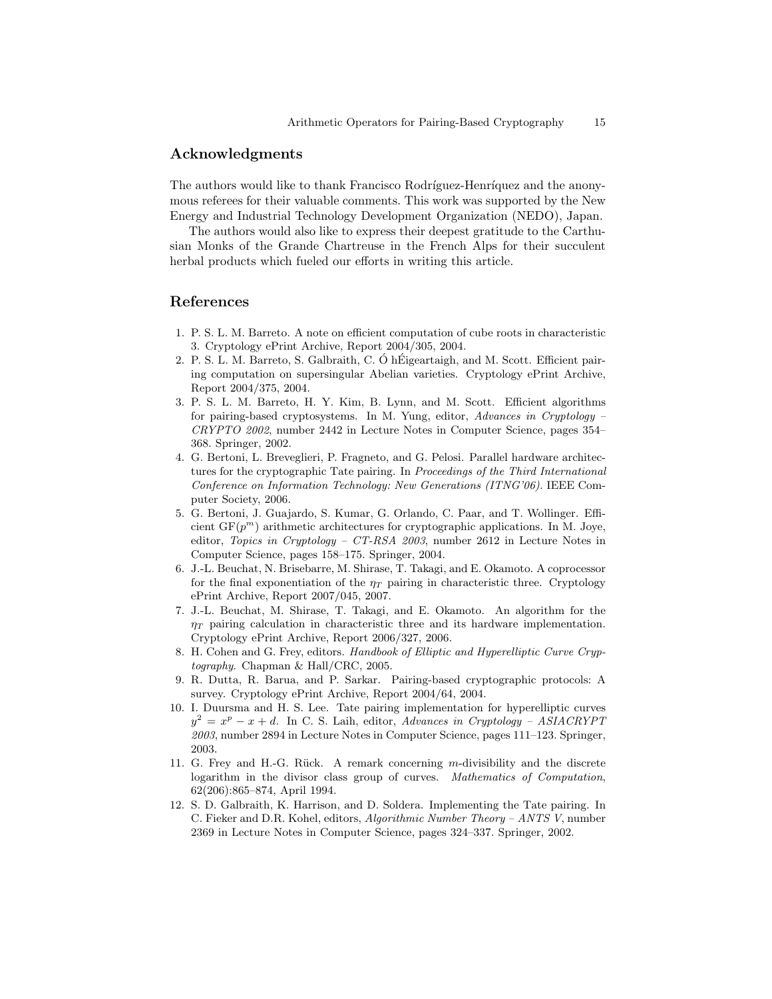### Acknowledgments

The authors would like to thank Francisco Rodríguez-Henríquez and the anonymous referees for their valuable comments. This work was supported by the New Energy and Industrial Technology Development Organization (NEDO), Japan.

The authors would also like to express their deepest gratitude to the Carthusian Monks of the Grande Chartreuse in the French Alps for their succulent herbal products which fueled our efforts in writing this article.

### References

- 1. P. S. L. M. Barreto. A note on efficient computation of cube roots in characteristic 3. Cryptology ePrint Archive, Report 2004/305, 2004.
- 2. P. S. L. M. Barreto, S. Galbraith, C. Ó hÉigeartaigh, and M. Scott. Efficient pairing computation on supersingular Abelian varieties. Cryptology ePrint Archive, Report 2004/375, 2004.
- 3. P. S. L. M. Barreto, H. Y. Kim, B. Lynn, and M. Scott. Efficient algorithms for pairing-based cryptosystems. In M. Yung, editor, Advances in Cryptology – CRYPTO 2002, number 2442 in Lecture Notes in Computer Science, pages 354– 368. Springer, 2002.
- 4. G. Bertoni, L. Breveglieri, P. Fragneto, and G. Pelosi. Parallel hardware architectures for the cryptographic Tate pairing. In Proceedings of the Third International Conference on Information Technology: New Generations (ITNG'06). IEEE Computer Society, 2006.
- 5. G. Bertoni, J. Guajardo, S. Kumar, G. Orlando, C. Paar, and T. Wollinger. Efficient  $GF(p^m)$  arithmetic architectures for cryptographic applications. In M. Joye, editor, Topics in Cryptology – CT-RSA 2003, number 2612 in Lecture Notes in Computer Science, pages 158–175. Springer, 2004.
- 6. J.-L. Beuchat, N. Brisebarre, M. Shirase, T. Takagi, and E. Okamoto. A coprocessor for the final exponentiation of the  $\eta_T$  pairing in characteristic three. Cryptology ePrint Archive, Report 2007/045, 2007.
- 7. J.-L. Beuchat, M. Shirase, T. Takagi, and E. Okamoto. An algorithm for the  $\eta_T$  pairing calculation in characteristic three and its hardware implementation. Cryptology ePrint Archive, Report 2006/327, 2006.
- 8. H. Cohen and G. Frey, editors. Handbook of Elliptic and Hyperelliptic Curve Cryptography. Chapman & Hall/CRC, 2005.
- 9. R. Dutta, R. Barua, and P. Sarkar. Pairing-based cryptographic protocols: A survey. Cryptology ePrint Archive, Report 2004/64, 2004.
- 10. I. Duursma and H. S. Lee. Tate pairing implementation for hyperelliptic curves  $y^2 = x^p - x + d$ . In C. S. Laih, editor, Advances in Cryptology – ASIACRYPT 2003, number 2894 in Lecture Notes in Computer Science, pages 111–123. Springer, 2003.
- 11. G. Frey and H.-G. Rück. A remark concerning  $m$ -divisibility and the discrete logarithm in the divisor class group of curves. Mathematics of Computation, 62(206):865–874, April 1994.
- 12. S. D. Galbraith, K. Harrison, and D. Soldera. Implementing the Tate pairing. In C. Fieker and D.R. Kohel, editors, Algorithmic Number Theory – ANTS V, number 2369 in Lecture Notes in Computer Science, pages 324–337. Springer, 2002.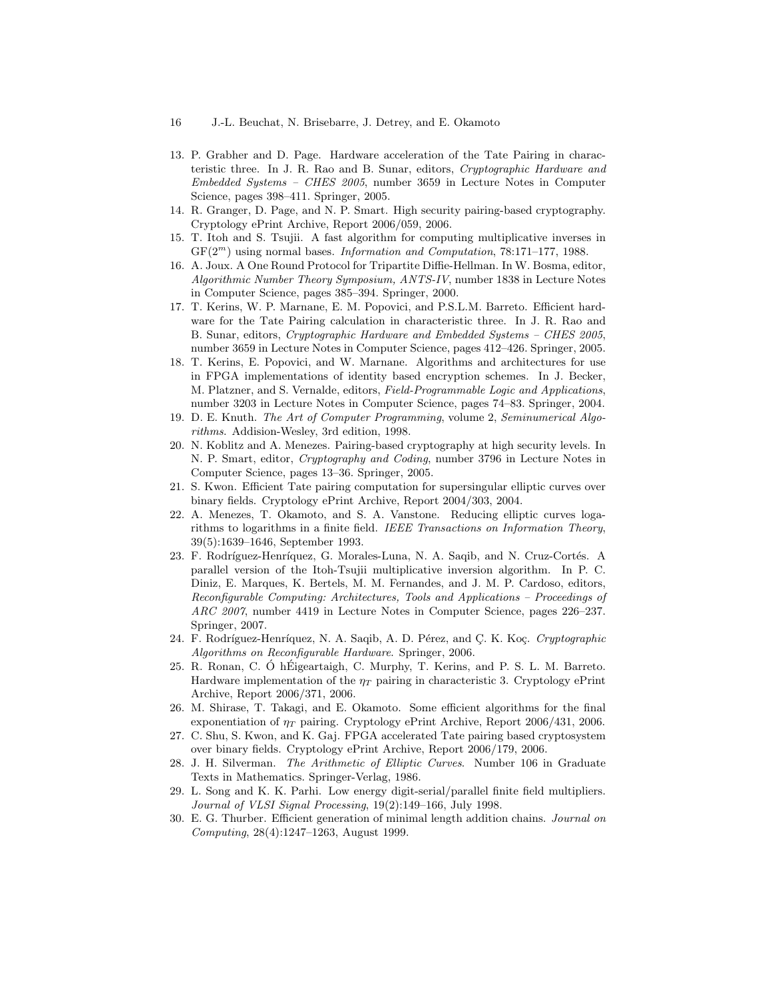- 16 J.-L. Beuchat, N. Brisebarre, J. Detrey, and E. Okamoto
- 13. P. Grabher and D. Page. Hardware acceleration of the Tate Pairing in characteristic three. In J. R. Rao and B. Sunar, editors, Cryptographic Hardware and Embedded Systems – CHES 2005, number 3659 in Lecture Notes in Computer Science, pages 398–411. Springer, 2005.
- 14. R. Granger, D. Page, and N. P. Smart. High security pairing-based cryptography. Cryptology ePrint Archive, Report 2006/059, 2006.
- 15. T. Itoh and S. Tsujii. A fast algorithm for computing multiplicative inverses in  $GF(2<sup>m</sup>)$  using normal bases. *Information and Computation*, 78:171–177, 1988.
- 16. A. Joux. A One Round Protocol for Tripartite Diffie-Hellman. In W. Bosma, editor, Algorithmic Number Theory Symposium, ANTS-IV, number 1838 in Lecture Notes in Computer Science, pages 385–394. Springer, 2000.
- 17. T. Kerins, W. P. Marnane, E. M. Popovici, and P.S.L.M. Barreto. Efficient hardware for the Tate Pairing calculation in characteristic three. In J. R. Rao and B. Sunar, editors, Cryptographic Hardware and Embedded Systems – CHES 2005, number 3659 in Lecture Notes in Computer Science, pages 412–426. Springer, 2005.
- 18. T. Kerins, E. Popovici, and W. Marnane. Algorithms and architectures for use in FPGA implementations of identity based encryption schemes. In J. Becker, M. Platzner, and S. Vernalde, editors, Field-Programmable Logic and Applications, number 3203 in Lecture Notes in Computer Science, pages 74–83. Springer, 2004.
- 19. D. E. Knuth. The Art of Computer Programming, volume 2, Seminumerical Algorithms. Addision-Wesley, 3rd edition, 1998.
- 20. N. Koblitz and A. Menezes. Pairing-based cryptography at high security levels. In N. P. Smart, editor, Cryptography and Coding, number 3796 in Lecture Notes in Computer Science, pages 13–36. Springer, 2005.
- 21. S. Kwon. Efficient Tate pairing computation for supersingular elliptic curves over binary fields. Cryptology ePrint Archive, Report 2004/303, 2004.
- 22. A. Menezes, T. Okamoto, and S. A. Vanstone. Reducing elliptic curves logarithms to logarithms in a finite field. IEEE Transactions on Information Theory, 39(5):1639–1646, September 1993.
- 23. F. Rodríguez-Henríquez, G. Morales-Luna, N. A. Saqib, and N. Cruz-Cortés. A parallel version of the Itoh-Tsujii multiplicative inversion algorithm. In P. C. Diniz, E. Marques, K. Bertels, M. M. Fernandes, and J. M. P. Cardoso, editors, Reconfigurable Computing: Architectures, Tools and Applications – Proceedings of ARC 2007, number 4419 in Lecture Notes in Computer Science, pages 226–237. Springer, 2007.
- 24. F. Rodríguez-Henríquez, N. A. Saqib, A. D. Pérez, and C. K. Koç. Cryptographic Algorithms on Reconfigurable Hardware. Springer, 2006.
- 25. R. Ronan, C. Ó hÉigeartaigh, C. Murphy, T. Kerins, and P. S. L. M. Barreto. Hardware implementation of the  $\eta_T$  pairing in characteristic 3. Cryptology ePrint Archive, Report 2006/371, 2006.
- 26. M. Shirase, T. Takagi, and E. Okamoto. Some efficient algorithms for the final exponentiation of  $\eta_T$  pairing. Cryptology ePrint Archive, Report 2006/431, 2006.
- 27. C. Shu, S. Kwon, and K. Gaj. FPGA accelerated Tate pairing based cryptosystem over binary fields. Cryptology ePrint Archive, Report 2006/179, 2006.
- 28. J. H. Silverman. The Arithmetic of Elliptic Curves. Number 106 in Graduate Texts in Mathematics. Springer-Verlag, 1986.
- 29. L. Song and K. K. Parhi. Low energy digit-serial/parallel finite field multipliers. Journal of VLSI Signal Processing, 19(2):149–166, July 1998.
- 30. E. G. Thurber. Efficient generation of minimal length addition chains. Journal on Computing, 28(4):1247–1263, August 1999.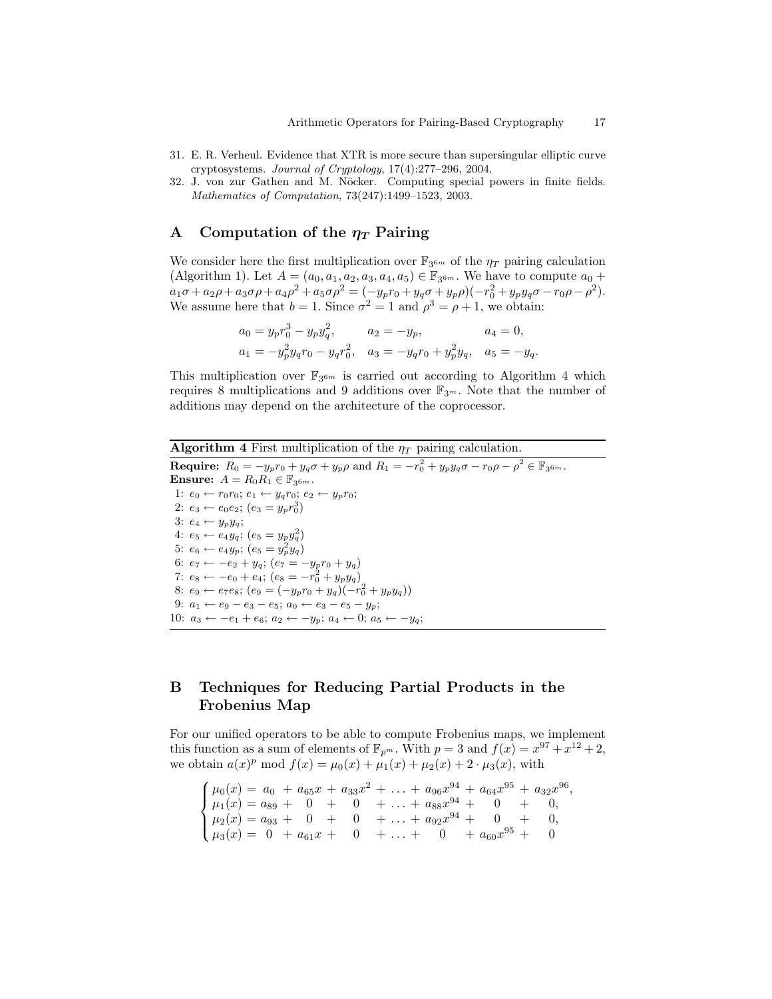- 31. E. R. Verheul. Evidence that XTR is more secure than supersingular elliptic curve cryptosystems. Journal of Cryptology, 17(4):277–296, 2004.
- 32. J. von zur Gathen and M. Nöcker. Computing special powers in finite fields. Mathematics of Computation, 73(247):1499–1523, 2003.

### A Computation of the  $\eta_T$  Pairing

We consider here the first multiplication over  $\mathbb{F}_{3^{6m}}$  of the  $\eta_T$  pairing calculation (Algorithm 1). Let  $A = (a_0, a_1, a_2, a_3, a_4, a_5) \in \mathbb{F}_{3^{6m}}$ . We have to compute  $a_0 +$  $a_1\sigma + a_2\rho + a_3\sigma\rho + a_4\rho^2 + a_5\sigma\rho^2 = (-y_pr_0 + y_q\sigma + y_p\rho)(-r_0^2 + y_py_q\sigma - r_0\rho - \rho^2).$ We assume here that  $b = 1$ . Since  $\sigma^2 = 1$  and  $\rho^3 = \rho + 1$ , we obtain:

$$
a_0 = y_p r_0^3 - y_p y_q^2, \qquad a_2 = -y_p, \qquad a_4 = 0,
$$
  

$$
a_1 = -y_p^2 y_q r_0 - y_q r_0^2, \quad a_3 = -y_q r_0 + y_p^2 y_q, \quad a_5 = -y_q.
$$

This multiplication over  $\mathbb{F}_{3^{6m}}$  is carried out according to Algorithm 4 which requires 8 multiplications and 9 additions over  $\mathbb{F}_{3^m}$ . Note that the number of additions may depend on the architecture of the coprocessor.

# Algorithm 4 First multiplication of the  $\eta_T$  pairing calculation.

**Require:**  $R_0 = -y_p r_0 + y_q \sigma + y_p \rho$  and  $R_1 = -r_0^2 + y_p y_q \sigma - r_0 \rho - \rho^2 \in \mathbb{F}_{3^{6m}}$ . Ensure:  $A = R_0 R_1 \in \mathbb{F}_{3^{6m}}$ . 1:  $e_0 \leftarrow r_0 r_0$ ;  $e_1 \leftarrow y_q r_0$ ;  $e_2 \leftarrow y_p r_0$ ; 2:  $e_3 \leftarrow e_0 e_2$ ;  $(e_3 = y_p r_0^3)$ 3:  $e_4 \leftarrow y_p y_q$ ; 4:  $e_5 \leftarrow e_4 y_q$ ;  $(e_5 = y_p y_q^2)$ 5:  $e_6 \leftarrow e_4 y_p$ ;  $(e_5 = y_p^2 y_q)$ 6:  $e_7 \leftarrow -e_2 + y_q$ ;  $(e_7 = -y_p r_0 + y_q)$ 7:  $e_8 \leftarrow -e_0 + e_4$ ;  $(e_8 = -r_0^2 + y_p y_q)$ 8:  $e_9 \leftarrow e_7 e_8$ ;  $(e_9 = (-y_p r_0 + y_q)(-r_0^2 + y_p y_q))$ 9:  $a_1 \leftarrow e_9 - e_3 - e_5$ ;  $a_0 \leftarrow e_3 - e_5 - y_p$ ; 10:  $a_3 \leftarrow -e_1 + e_6$ ;  $a_2 \leftarrow -y_p$ ;  $a_4 \leftarrow 0$ ;  $a_5 \leftarrow -y_q$ ;

# B Techniques for Reducing Partial Products in the Frobenius Map

For our unified operators to be able to compute Frobenius maps, we implement this function as a sum of elements of  $\mathbb{F}_{p^m}$ . With  $p = 3$  and  $f(x) = x^{97} + x^{12} + 2$ , we obtain  $a(x)^p \mod f(x) = \mu_0(x) + \mu_1(x) + \mu_2(x) + 2 \cdot \mu_3(x)$ , with

 $\sqrt{ }$  $\int$  $\overline{\mathcal{L}}$  $\mu_0(x) = a_0 + a_{65}x + a_{33}x^2 + \ldots + a_{96}x^{94} + a_{64}x^{95} + a_{32}x^{96},$  $\mu_1(x) = a_{89} + 0 + 0 + \ldots + a_{88}x^{94} + 0 + 0,$  $\mu_2(x) = a_{93} + 0 + 0 + \ldots + a_{92}x^{94} + 0 + 0,$  $\mu_3(x) = 0 + a_{61}x + 0 + \ldots + 0 + a_{60}x^{95} + 0$